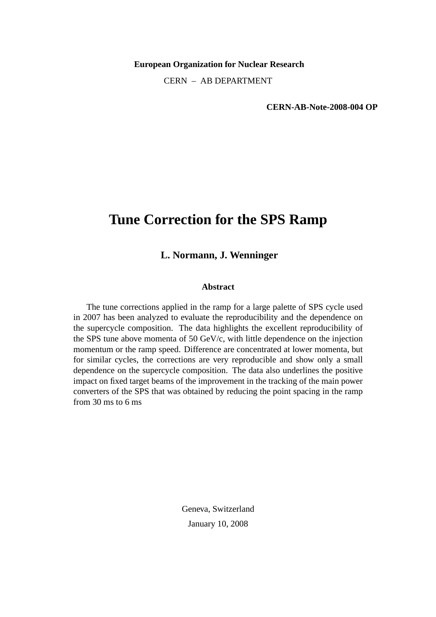**European Organization for Nuclear Research**

CERN – AB DEPARTMENT

**CERN-AB-Note-2008-004 OP**

# **Tune Correction for the SPS Ramp**

## **L. Normann, J. Wenninger**

#### **Abstract**

The tune corrections applied in the ramp for a large palette of SPS cycle used in 2007 has been analyzed to evaluate the reproducibility and the dependence on the supercycle composition. The data highlights the excellent reproducibility of the SPS tune above momenta of 50 GeV/c, with little dependence on the injection momentum or the ramp speed. Difference are concentrated at lower momenta, but for similar cycles, the corrections are very reproducible and show only a small dependence on the supercycle composition. The data also underlines the positive impact on fixed target beams of the improvement in the tracking of the main power converters of the SPS that was obtained by reducing the point spacing in the ramp from 30 ms to 6 ms

> Geneva, Switzerland January 10, 2008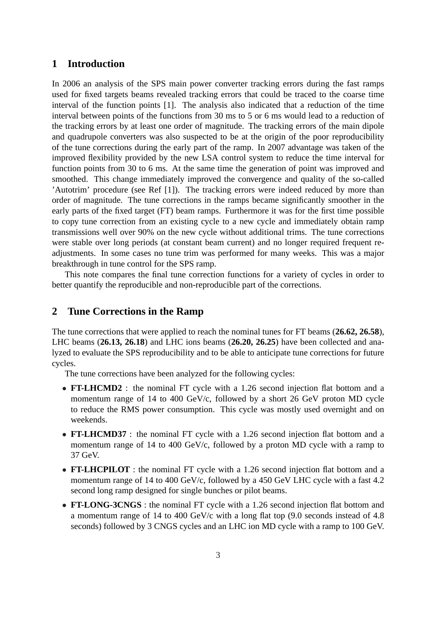#### **1 Introduction**

In 2006 an analysis of the SPS main power converter tracking errors during the fast ramps used for fixed targets beams revealed tracking errors that could be traced to the coarse time interval of the function points [1]. The analysis also indicated that a reduction of the time interval between points of the functions from 30 ms to 5 or 6 ms would lead to a reduction of the tracking errors by at least one order of magnitude. The tracking errors of the main dipole and quadrupole converters was also suspected to be at the origin of the poor reproducibility of the tune corrections during the early part of the ramp. In 2007 advantage was taken of the improved flexibility provided by the new LSA control system to reduce the time interval for function points from 30 to 6 ms. At the same time the generation of point was improved and smoothed. This change immediately improved the convergence and quality of the so-called 'Autotrim' procedure (see Ref [1]). The tracking errors were indeed reduced by more than order of magnitude. The tune corrections in the ramps became significantly smoother in the early parts of the fixed target (FT) beam ramps. Furthermore it was for the first time possible to copy tune correction from an existing cycle to a new cycle and immediately obtain ramp transmissions well over 90% on the new cycle without additional trims. The tune corrections were stable over long periods (at constant beam current) and no longer required frequent readjustments. In some cases no tune trim was performed for many weeks. This was a major breakthrough in tune control for the SPS ramp.

This note compares the final tune correction functions for a variety of cycles in order to better quantify the reproducible and non-reproducible part of the corrections.

## **2 Tune Corrections in the Ramp**

The tune corrections that were applied to reach the nominal tunes for FT beams (**26.62, 26.58**), LHC beams (**26.13, 26.18**) and LHC ions beams (**26.20, 26.25**) have been collected and analyzed to evaluate the SPS reproducibility and to be able to anticipate tune corrections for future cycles.

The tune corrections have been analyzed for the following cycles:

- **FT-LHCMD2** : the nominal FT cycle with a 1.26 second injection flat bottom and a momentum range of 14 to 400 GeV/c, followed by a short 26 GeV proton MD cycle to reduce the RMS power consumption. This cycle was mostly used overnight and on weekends.
- **FT-LHCMD37** : the nominal FT cycle with a 1.26 second injection flat bottom and a momentum range of 14 to 400 GeV/c, followed by a proton MD cycle with a ramp to 37 GeV.
- **FT-LHCPILOT**: the nominal FT cycle with a 1.26 second injection flat bottom and a momentum range of 14 to 400 GeV/c, followed by a 450 GeV LHC cycle with a fast 4.2 second long ramp designed for single bunches or pilot beams.
- **FT-LONG-3CNGS**: the nominal FT cycle with a 1.26 second injection flat bottom and a momentum range of 14 to 400 GeV/c with a long flat top (9.0 seconds instead of 4.8 seconds) followed by 3 CNGS cycles and an LHC ion MD cycle with a ramp to 100 GeV.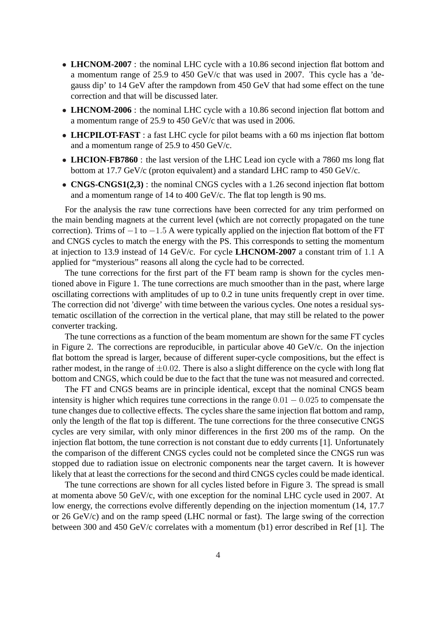- **LHCNOM-2007**: the nominal LHC cycle with a 10.86 second injection flat bottom and a momentum range of 25.9 to 450 GeV/c that was used in 2007. This cycle has a 'degauss dip' to 14 GeV after the rampdown from 450 GeV that had some effect on the tune correction and that will be discussed later.
- **LHCNOM-2006**: the nominal LHC cycle with a 10.86 second injection flat bottom and a momentum range of 25.9 to 450 GeV/c that was used in 2006.
- **LHCPILOT-FAST**: a fast LHC cycle for pilot beams with a 60 ms injection flat bottom and a momentum range of 25.9 to 450 GeV/c.
- **LHCION-FB7860** : the last version of the LHC Lead ion cycle with a 7860 ms long flat bottom at 17.7 GeV/c (proton equivalent) and a standard LHC ramp to 450 GeV/c.
- **CNGS-CNGS1(2,3)**: the nominal CNGS cycles with a 1.26 second injection flat bottom and a momentum range of 14 to 400 GeV/c. The flat top length is 90 ms.

For the analysis the raw tune corrections have been corrected for any trim performed on the main bending magnets at the current level (which are not correctly propagated on the tune correction). Trims of  $-1$  to  $-1.5$  A were typically applied on the injection flat bottom of the FT and CNGS cycles to match the energy with the PS. This corresponds to setting the momentum at injection to 13.9 instead of 14 GeV/c. For cycle **LHCNOM-2007** a constant trim of 1.1 A applied for "mysterious" reasons all along the cycle had to be corrected.

The tune corrections for the first part of the FT beam ramp is shown for the cycles mentioned above in Figure 1. The tune corrections are much smoother than in the past, where large oscillating corrections with amplitudes of up to 0.2 in tune units frequently crept in over time. The correction did not 'diverge' with time between the various cycles. One notes a residual systematic oscillation of the correction in the vertical plane, that may still be related to the power converter tracking.

The tune corrections as a function of the beam momentum are shown for the same FT cycles in Figure 2. The corrections are reproducible, in particular above 40 GeV/c. On the injection flat bottom the spread is larger, because of different super-cycle compositions, but the effect is rather modest, in the range of  $\pm 0.02$ . There is also a slight difference on the cycle with long flat bottom and CNGS, which could be due to the fact that the tune was not measured and corrected.

The FT and CNGS beams are in principle identical, except that the nominal CNGS beam intensity is higher which requires tune corrections in the range  $0.01 - 0.025$  to compensate the tune changes due to collective effects. The cycles share the same injection flat bottom and ramp, only the length of the flat top is different. The tune corrections for the three consecutive CNGS cycles are very similar, with only minor differences in the first 200 ms of the ramp. On the injection flat bottom, the tune correction is not constant due to eddy currents [1]. Unfortunately the comparison of the different CNGS cycles could not be completed since the CNGS run was stopped due to radiation issue on electronic components near the target cavern. It is however likely that at least the corrections for the second and third CNGS cycles could be made identical.

The tune corrections are shown for all cycles listed before in Figure 3. The spread is small at momenta above 50 GeV/c, with one exception for the nominal LHC cycle used in 2007. At low energy, the corrections evolve differently depending on the injection momentum (14, 17.7 or 26 GeV/c) and on the ramp speed (LHC normal or fast). The large swing of the correction between 300 and 450 GeV/c correlates with a momentum (b1) error described in Ref [1]. The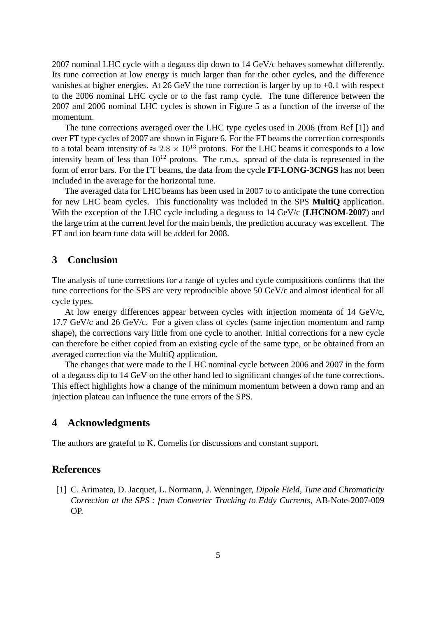2007 nominal LHC cycle with a degauss dip down to 14 GeV/c behaves somewhat differently. Its tune correction at low energy is much larger than for the other cycles, and the difference vanishes at higher energies. At 26 GeV the tune correction is larger by up to +0.1 with respect to the 2006 nominal LHC cycle or to the fast ramp cycle. The tune difference between the 2007 and 2006 nominal LHC cycles is shown in Figure 5 as a function of the inverse of the momentum.

The tune corrections averaged over the LHC type cycles used in 2006 (from Ref [1]) and over FT type cycles of 2007 are shown in Figure 6. For the FT beams the correction corresponds to a total beam intensity of  $\approx 2.8 \times 10^{13}$  protons. For the LHC beams it corresponds to a low intensity beam of less than  $10^{12}$  protons. The r.m.s. spread of the data is represented in the form of error bars. For the FT beams, the data from the cycle **FT-LONG-3CNGS** has not been included in the average for the horizontal tune.

The averaged data for LHC beams has been used in 2007 to to anticipate the tune correction for new LHC beam cycles. This functionality was included in the SPS **MultiQ** application. With the exception of the LHC cycle including a degauss to 14 GeV/c (**LHCNOM-2007**) and the large trim at the current level for the main bends, the prediction accuracy was excellent. The FT and ion beam tune data will be added for 2008.

#### **3 Conclusion**

The analysis of tune corrections for a range of cycles and cycle compositions confirms that the tune corrections for the SPS are very reproducible above 50 GeV/c and almost identical for all cycle types.

At low energy differences appear between cycles with injection momenta of 14 GeV/c, 17.7 GeV/c and 26 GeV/c. For a given class of cycles (same injection momentum and ramp shape), the corrections vary little from one cycle to another. Initial corrections for a new cycle can therefore be either copied from an existing cycle of the same type, or be obtained from an averaged correction via the MultiQ application.

The changes that were made to the LHC nominal cycle between 2006 and 2007 in the form of a degauss dip to 14 GeV on the other hand led to significant changes of the tune corrections. This effect highlights how a change of the minimum momentum between a down ramp and an injection plateau can influence the tune errors of the SPS.

## **4 Acknowledgments**

The authors are grateful to K. Cornelis for discussions and constant support.

## **References**

[1] C. Arimatea, D. Jacquet, L. Normann, J. Wenninger, *Dipole Field, Tune and Chromaticity Correction at the SPS : from Converter Tracking to Eddy Currents*, AB-Note-2007-009 OP.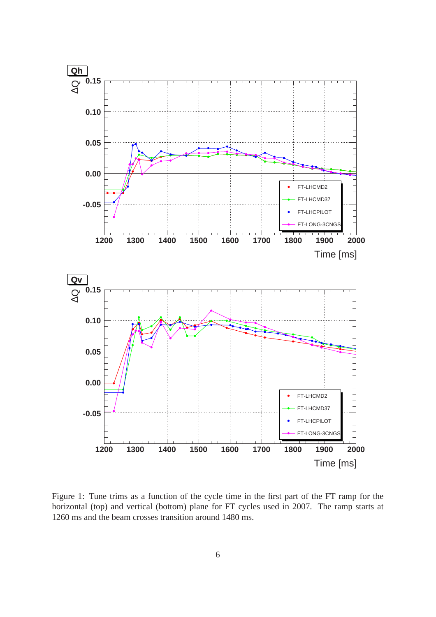

Figure 1: Tune trims as a function of the cycle time in the first part of the FT ramp for the horizontal (top) and vertical (bottom) plane for FT cycles used in 2007. The ramp starts at 1260 ms and the beam crosses transition around 1480 ms.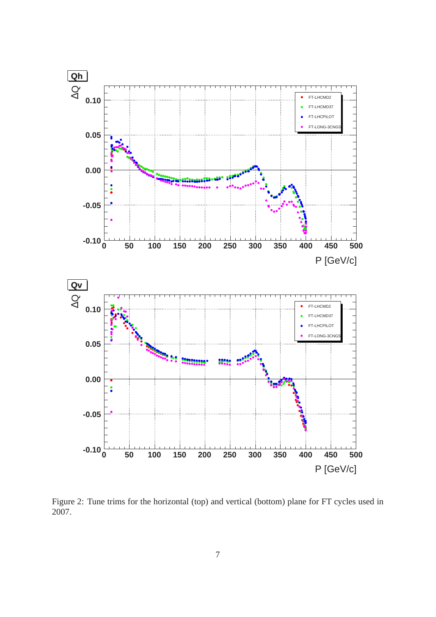

Figure 2: Tune trims for the horizontal (top) and vertical (bottom) plane for FT cycles used in 2007.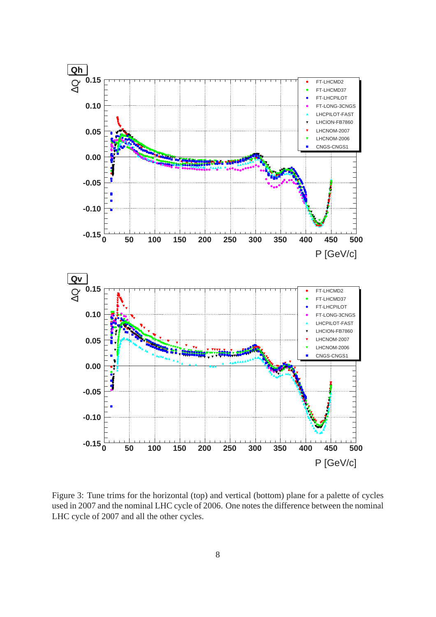

Figure 3: Tune trims for the horizontal (top) and vertical (bottom) plane for a palette of cycles used in 2007 and the nominal LHC cycle of 2006. One notes the difference between the nominal LHC cycle of 2007 and all the other cycles.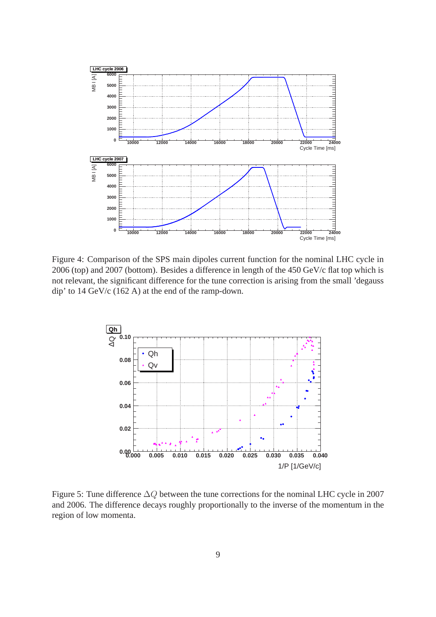

Figure 4: Comparison of the SPS main dipoles current function for the nominal LHC cycle in 2006 (top) and 2007 (bottom). Besides a difference in length of the 450 GeV/c flat top which is not relevant, the significant difference for the tune correction is arising from the small 'degauss dip' to 14 GeV/c (162 A) at the end of the ramp-down.



Figure 5: Tune difference ∆Q between the tune corrections for the nominal LHC cycle in 2007 and 2006. The difference decays roughly proportionally to the inverse of the momentum in the region of low momenta.